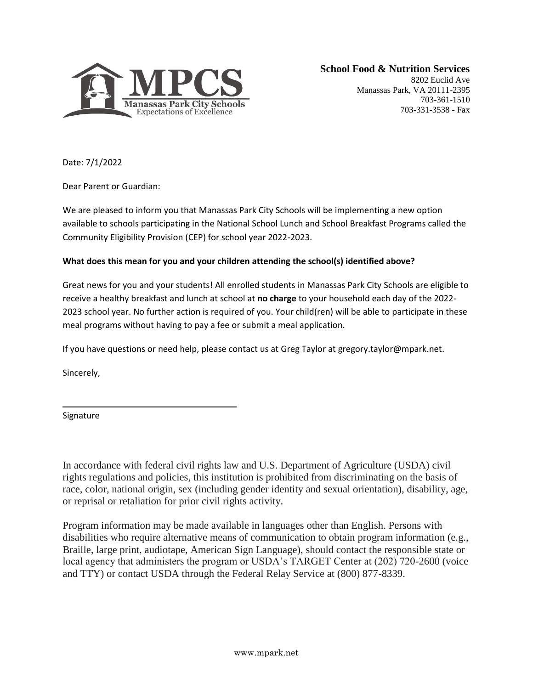

8202 Euclid Ave Manassas Park, VA 20111-2395 703-361-1510 703-331-3538 - Fax

Date: 7/1/2022

Dear Parent or Guardian:

We are pleased to inform you that Manassas Park City Schools will be implementing a new option available to schools participating in the National School Lunch and School Breakfast Programs called the Community Eligibility Provision (CEP) for school year 2022-2023.

## **What does this mean for you and your children attending the school(s) identified above?**

Great news for you and your students! All enrolled students in Manassas Park City Schools are eligible to receive a healthy breakfast and lunch at school at **no charge** to your household each day of the 2022- 2023 school year. No further action is required of you. Your child(ren) will be able to participate in these meal programs without having to pay a fee or submit a meal application.

If you have questions or need help, please contact us at Greg Taylor at gregory.taylor@mpark.net.

Sincerely,

Signature

In accordance with federal civil rights law and U.S. Department of Agriculture (USDA) civil rights regulations and policies, this institution is prohibited from discriminating on the basis of race, color, national origin, sex (including gender identity and sexual orientation), disability, age, or reprisal or retaliation for prior civil rights activity.

Program information may be made available in languages other than English. Persons with disabilities who require alternative means of communication to obtain program information (e.g., Braille, large print, audiotape, American Sign Language), should contact the responsible state or local agency that administers the program or USDA's TARGET Center at (202) 720-2600 (voice and TTY) or contact USDA through the Federal Relay Service at (800) 877-8339.